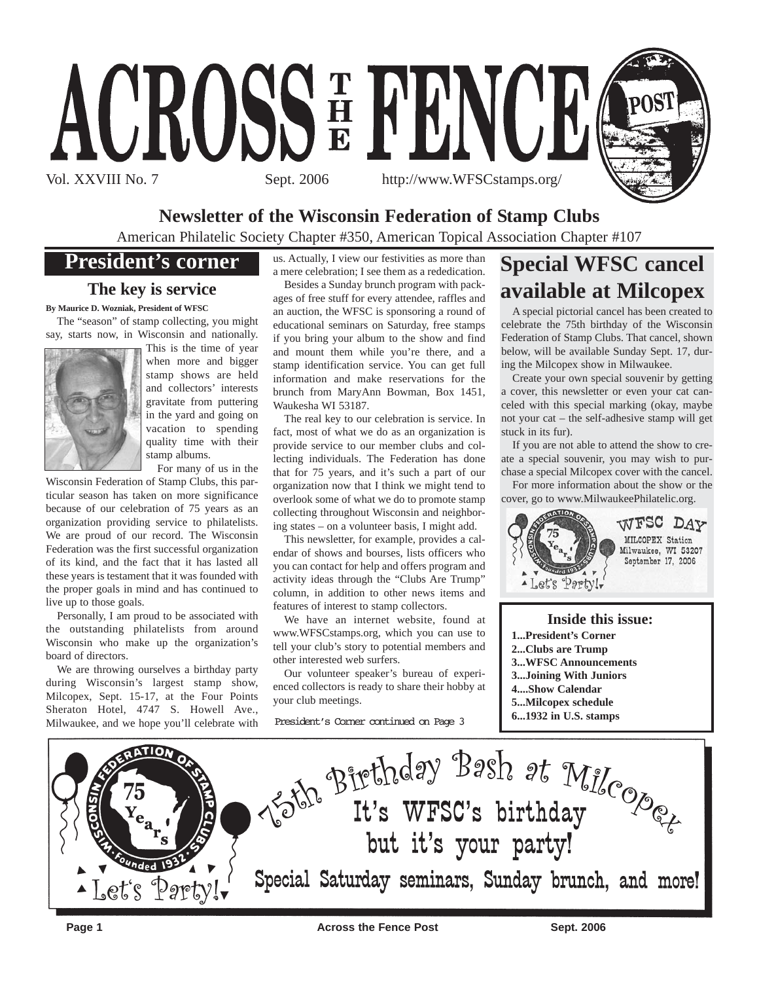

## **Newsletter of the Wisconsin Federation of Stamp Clubs**

American Philatelic Society Chapter #350, American Topical Association Chapter #107

## **President's corner**

## **The key is service**

**By Maurice D. Wozniak, President of WFSC**

The "season" of stamp collecting, you might say, starts now, in Wisconsin and nationally.



This is the time of year when more and bigger stamp shows are held and collectors' interests gravitate from puttering in the yard and going on vacation to spending quality time with their stamp albums.

For many of us in the

Wisconsin Federation of Stamp Clubs, this particular season has taken on more significance because of our celebration of 75 years as an organization providing service to philatelists. We are proud of our record. The Wisconsin Federation was the first successful organization of its kind, and the fact that it has lasted all these years is testament that it was founded with the proper goals in mind and has continued to live up to those goals.

Personally, I am proud to be associated with the outstanding philatelists from around Wisconsin who make up the organization's board of directors.

We are throwing ourselves a birthday party during Wisconsin's largest stamp show, Milcopex, Sept. 15-17, at the Four Points Sheraton Hotel, 4747 S. Howell Ave., Milwaukee, and we hope you'll celebrate with

us. Actually, I view our festivities as more than a mere celebration; I see them as a rededication.

Besides a Sunday brunch program with packages of free stuff for every attendee, raffles and an auction, the WFSC is sponsoring a round of educational seminars on Saturday, free stamps if you bring your album to the show and find and mount them while you're there, and a stamp identification service. You can get full information and make reservations for the brunch from MaryAnn Bowman, Box 1451, Waukesha WI 53187.

The real key to our celebration is service. In fact, most of what we do as an organization is provide service to our member clubs and collecting individuals. The Federation has done that for 75 years, and it's such a part of our organization now that I think we might tend to overlook some of what we do to promote stamp collecting throughout Wisconsin and neighboring states – on a volunteer basis, I might add.

This newsletter, for example, provides a calendar of shows and bourses, lists officers who you can contact for help and offers program and activity ideas through the "Clubs Are Trump" column, in addition to other news items and features of interest to stamp collectors.

We have an internet website, found at www.WFSCstamps.org, which you can use to tell your club's story to potential members and other interested web surfers.

Our volunteer speaker's bureau of experienced collectors is ready to share their hobby at your club meetings.

President's Corner continued on Page 3

# **Special WFSC cancel available at Milcopex**

A special pictorial cancel has been created to celebrate the 75th birthday of the Wisconsin Federation of Stamp Clubs. That cancel, shown below, will be available Sunday Sept. 17, during the Milcopex show in Milwaukee.

Create your own special souvenir by getting a cover, this newsletter or even your cat canceled with this special marking (okay, maybe not your cat – the self-adhesive stamp will get stuck in its fur).

If you are not able to attend the show to create a special souvenir, you may wish to purchase a special Milcopex cover with the cancel. For more information about the show or the

cover, go to www.MilwaukeePhilatelic.org.



**Inside this issue: 1...President's Corner 2...Clubs are Trump 3...WFSC Announcements 3...Joining With Juniors 4....Show Calendar 5...Milcopex schedule 6...1932 in U.S. stamps**



**Page 1 Across the Fence Post** Sept. 2006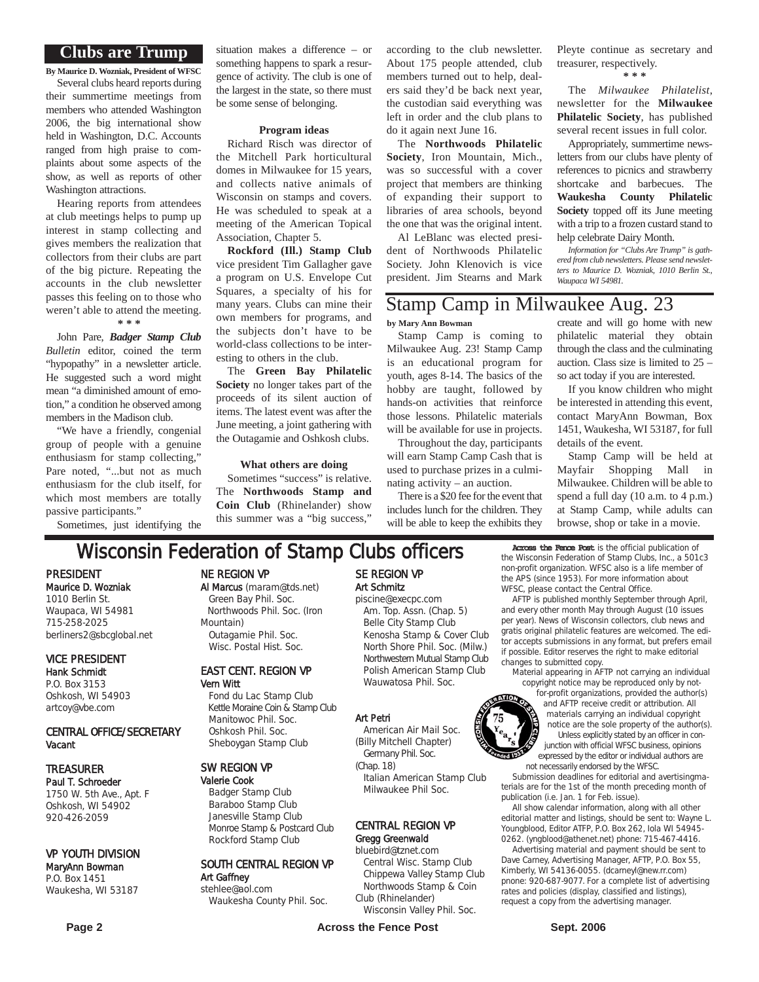#### **Clubs are Trump**

**By Maurice D. Wozniak, President of WFSC** Several clubs heard reports during their summertime meetings from members who attended Washington 2006, the big international show held in Washington, D.C. Accounts ranged from high praise to complaints about some aspects of the show, as well as reports of other Washington attractions.

Hearing reports from attendees at club meetings helps to pump up interest in stamp collecting and gives members the realization that collectors from their clubs are part of the big picture. Repeating the accounts in the club newsletter passes this feeling on to those who weren't able to attend the meeting. **\* \* \***

John Pare, *Badger Stamp Club Bulletin* editor, coined the term "hypopathy" in a newsletter article. He suggested such a word might mean "a diminished amount of emotion," a condition he observed among members in the Madison club.

"We have a friendly, congenial group of people with a genuine enthusiasm for stamp collecting," Pare noted, "...but not as much enthusiasm for the club itself, for which most members are totally passive participants."

Sometimes, just identifying the

situation makes a difference – or something happens to spark a resurgence of activity. The club is one of the largest in the state, so there must be some sense of belonging.

#### **Program ideas**

Richard Risch was director of the Mitchell Park horticultural domes in Milwaukee for 15 years, and collects native animals of Wisconsin on stamps and covers. He was scheduled to speak at a meeting of the American Topical Association, Chapter 5.

**Rockford (Ill.) Stamp Club** vice president Tim Gallagher gave a program on U.S. Envelope Cut Squares, a specialty of his for many years. Clubs can mine their own members for programs, and the subjects don't have to be world-class collections to be interesting to others in the club.

The **Green Bay Philatelic Society** no longer takes part of the proceeds of its silent auction of items. The latest event was after the June meeting, a joint gathering with the Outagamie and Oshkosh clubs.

#### **What others are doing**

Sometimes "success" is relative. The **Northwoods Stamp and Coin Club** (Rhinelander) show this summer was a "big success,"

according to the club newsletter. About 175 people attended, club members turned out to help, dealers said they'd be back next year, the custodian said everything was left in order and the club plans to do it again next June 16.

The **Northwoods Philatelic Society**, Iron Mountain, Mich., was so successful with a cover project that members are thinking of expanding their support to libraries of area schools, beyond the one that was the original intent.

Al LeBlanc was elected president of Northwoods Philatelic Society. John Klenovich is vice president. Jim Stearns and Mark Pleyte continue as secretary and treasurer, respectively.

**\* \* \***

The *Milwaukee Philatelist*, newsletter for the **Milwaukee Philatelic Society**, has published several recent issues in full color.

Appropriately, summertime newsletters from our clubs have plenty of references to picnics and strawberry shortcake and barbecues. The **Waukesha County Philatelic Society** topped off its June meeting with a trip to a frozen custard stand to help celebrate Dairy Month.

*Information for "Clubs Are Trump" is gathered from club newsletters. Please send newsletters to Maurice D. Wozniak, 1010 Berlin St., Waupaca WI 54981.*

## Stamp Camp in Milwaukee Aug. 23

**by Mary Ann Bowman**

Stamp Camp is coming to Milwaukee Aug. 23! Stamp Camp is an educational program for youth, ages 8-14. The basics of the hobby are taught, followed by hands-on activities that reinforce those lessons. Philatelic materials will be available for use in projects.

Throughout the day, participants will earn Stamp Camp Cash that is used to purchase prizes in a culminating activity – an auction.

There is a \$20 fee for the event that includes lunch for the children. They will be able to keep the exhibits they create and will go home with new philatelic material they obtain through the class and the culminating auction. Class size is limited to 25 – so act today if you are interested.

If you know children who might be interested in attending this event, contact MaryAnn Bowman, Box 1451, Waukesha, WI 53187, for full details of the event.

Stamp Camp will be held at Mayfair Shopping Mall in Milwaukee. Children will be able to spend a full day (10 a.m. to 4 p.m.) at Stamp Camp, while adults can browse, shop or take in a movie.

## **Wisconsin Federation of Stamp Clubs officers** Across the Fence Post is the official publication of

PRESIDENT Maurice D. Wozniak 1010 Berlin St. Waupaca, WI 54981 715-258-2025 berliners2@sbcglobal.net

#### VICE PRESIDENT Hank Schmidt

P.O. Box 3153 Oshkosh, WI 54903 artcoy@vbe.com

#### CENTRAL OFFICE/SECRETARY Vacant

#### TREASURER

Paul T. Schroeder 1750 W. 5th Ave., Apt. F Oshkosh, WI 54902 920-426-2059

#### VP YOUTH DIVISION

#### MaryAnn Bowman P.O. Box 1451 Waukesha, WI 53187

NE REGION VP

#### Al Marcus (maram@tds.net) Green Bay Phil. Soc. Northwoods Phil. Soc. (Iron Mountain) Outagamie Phil. Soc.

Wisc. Postal Hist. Soc.

#### EAST CENT. REGION VP Vern Witt

Fond du Lac Stamp Club Kettle Moraine Coin & Stamp Club Manitowoc Phil. Soc. Oshkosh Phil. Soc. Sheboygan Stamp Club

#### SW REGION VP

Valerie Cook Badger Stamp Club Baraboo Stamp Club Janesville Stamp Club Monroe Stamp & Postcard Club Rockford Stamp Club

#### SOUTH CENTRAL REGION VP Art Gaffney stehlee@aol.com

Waukesha County Phil. Soc.

## SE REGION VP Art Schmitz

piscine@execpc.com Am. Top. Assn. (Chap. 5) Belle City Stamp Club Kenosha Stamp & Cover Club North Shore Phil. Soc. (Milw.) Northwestern Mutual Stamp Club Polish American Stamp Club Wauwatosa Phil. Soc.

#### Art Petri

American Air Mail Soc. (Billy Mitchell Chapter) Germany Phil. Soc.

(Chap. 18) Italian American Stamp Club

## Milwaukee Phil Soc.

#### CENTRAL REGION VP Gregg Greenwald

bluebird@tznet.com

Central Wisc. Stamp Club Chippewa Valley Stamp Club Northwoods Stamp & Coin Club (Rhinelander)

Wisconsin Valley Phil. Soc.

the Wisconsin Federation of Stamp Clubs, Inc., a 501c3 non-profit organization. WFSC also is a life member of the APS (since 1953). For more information about WFSC, please contact the Central Office.

AFTP is published monthly September through April, and every other month May through August (10 issues per year). News of Wisconsin collectors, club news and gratis original philatelic features are welcomed. The editor accepts submissions in any format, but prefers email if possible. Editor reserves the right to make editorial changes to submitted copy.

material appearing in AFTP not carrying an individual copyright notice may be reproduced only by not-

for-profit organizations, provided the author(s) and AFTP receive credit or attribution. All materials carrying an individual copyright notice are the sole property of the author(s). Unless explicitly stated by an officer in conjunction with official WFSC business, opinions expressed by the editor or individual authors are not necessarily endorsed by the WFSC.

Submission deadlines for editorial and avertisingmaterials are for the 1st of the month preceding month of publication (i.e. Jan. 1 for Feb. issue).

All show calendar information, along with all other editorial matter and listings, should be sent to: Wayne L. Youngblood, Editor ATFP, P.O. Box 262, Iola WI 54945- 0262. (yngblood@athenet.net) phone: 715-467-4416.

Advertising material and payment should be sent to Dave Carney, Advertising Manager, AFTP, P.O. Box 55, Kimberly, WI 54136-0055. (dcarneyl@new.rr.com) pnone: 920-687-9077. For a complete list of advertising rates and policies (display, classified and listings), request a copy from the advertising manager.

 $1032$ 

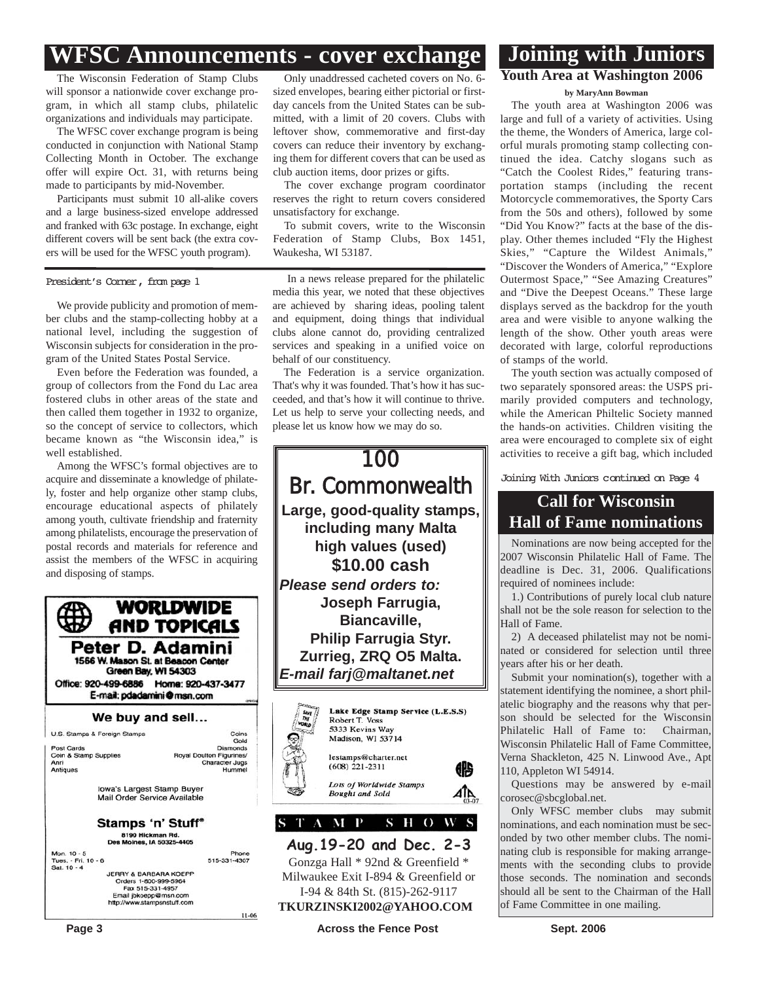## **WFSC Announcements - cover exchange**

The Wisconsin Federation of Stamp Clubs will sponsor a nationwide cover exchange program, in which all stamp clubs, philatelic organizations and individuals may participate.

The WFSC cover exchange program is being conducted in conjunction with National Stamp Collecting Month in October. The exchange offer will expire Oct. 31, with returns being made to participants by mid-November.

Participants must submit 10 all-alike covers and a large business-sized envelope addressed and franked with 63c postage. In exchange, eight different covers will be sent back (the extra covers will be used for the WFSC youth program).

President's Corner, from page 1

We provide publicity and promotion of member clubs and the stamp-collecting hobby at a national level, including the suggestion of Wisconsin subjects for consideration in the program of the United States Postal Service.

Even before the Federation was founded, a group of collectors from the Fond du Lac area fostered clubs in other areas of the state and then called them together in 1932 to organize, so the concept of service to collectors, which became known as "the Wisconsin idea," is well established.

Among the WFSC's formal objectives are to acquire and disseminate a knowledge of philately, foster and help organize other stamp clubs, encourage educational aspects of philately among youth, cultivate friendship and fraternity among philatelists, encourage the preservation of postal records and materials for reference and assist the members of the WFSC in acquiring and disposing of stamps.

| WORLDWIDE<br>AND TOPICALS<br>Peter D. Adamini<br>1566 W. Mason St. at Beacon Center<br>Green Bay, WI 54303<br>Office: 920-499-6886<br>Home: 920-437-3477<br>E-mail: pdadamini@msn.com<br>We buy and sell |                                                             |
|----------------------------------------------------------------------------------------------------------------------------------------------------------------------------------------------------------|-------------------------------------------------------------|
|                                                                                                                                                                                                          |                                                             |
| <b>Post Cards</b>                                                                                                                                                                                        | Gold<br><b>Diamonds</b>                                     |
| Coin & Stamp Supplies<br>Anri<br>Antiques                                                                                                                                                                | Royal Doulton Figurines/<br><b>Character Jugs</b><br>Hummel |
| Iowa's Largest Stamp Buyer<br>Mail Order Service Available                                                                                                                                               |                                                             |
| Stamps 'n' Stuff®                                                                                                                                                                                        |                                                             |
| 8190 Hickman Rd.<br>Des Moines, IA 50325-4405                                                                                                                                                            |                                                             |
| Mon. 10 - 5                                                                                                                                                                                              | Phone                                                       |
| Tues. - Fri. 10 - 6<br>Sat. 10 - 4                                                                                                                                                                       | 515-331-4307                                                |
| <b>JERRY &amp; BARBARA KOEPP</b><br>Orders 1-800-999-5964<br>Fax 515-331-4957<br>Email jbkoepp@msn.com<br>http://www.stampsnstuff.com                                                                    |                                                             |
|                                                                                                                                                                                                          | 1100                                                        |

Only unaddressed cacheted covers on No. 6 sized envelopes, bearing either pictorial or firstday cancels from the United States can be submitted, with a limit of 20 covers. Clubs with leftover show, commemorative and first-day covers can reduce their inventory by exchanging them for different covers that can be used as club auction items, door prizes or gifts.

The cover exchange program coordinator reserves the right to return covers considered unsatisfactory for exchange.

To submit covers, write to the Wisconsin Federation of Stamp Clubs, Box 1451, Waukesha, WI 53187.

In a news release prepared for the philatelic media this year, we noted that these objectives are achieved by sharing ideas, pooling talent and equipment, doing things that individual clubs alone cannot do, providing centralized services and speaking in a unified voice on behalf of our constituency.

The Federation is a service organization. That's why it was founded. That's how it has succeeded, and that's how it will continue to thrive. Let us help to serve your collecting needs, and please let us know how we may do so.



Gonzga Hall \* 92nd & Greenfield \* Milwaukee Exit I-894 & Greenfield or I-94 & 84th St. (815)-262-9117 **TKURZINSKI2002@YAHOO.COM**

**Page 3 Across the Fence Post** Sept. 2006

## **Youth Area at Washington 2006 Joining with Juniors**

#### **by MaryAnn Bowman**

The youth area at Washington 2006 was large and full of a variety of activities. Using the theme, the Wonders of America, large colorful murals promoting stamp collecting continued the idea. Catchy slogans such as "Catch the Coolest Rides," featuring transportation stamps (including the recent Motorcycle commemoratives, the Sporty Cars from the 50s and others), followed by some "Did You Know?" facts at the base of the display. Other themes included "Fly the Highest Skies," "Capture the Wildest Animals," "Discover the Wonders of America," "Explore Outermost Space," "See Amazing Creatures" and "Dive the Deepest Oceans." These large displays served as the backdrop for the youth area and were visible to anyone walking the length of the show. Other youth areas were decorated with large, colorful reproductions of stamps of the world.

The youth section was actually composed of two separately sponsored areas: the USPS primarily provided computers and technology, while the American Philtelic Society manned the hands-on activities. Children visiting the area were encouraged to complete six of eight activities to receive a gift bag, which included

Joining With Juniors continued on Page 4

## **Call for Wisconsin Hall of Fame nominations**

Nominations are now being accepted for the 2007 Wisconsin Philatelic Hall of Fame. The deadline is Dec. 31, 2006. Qualifications required of nominees include:

1.) Contributions of purely local club nature shall not be the sole reason for selection to the Hall of Fame.

2) A deceased philatelist may not be nominated or considered for selection until three years after his or her death.

Submit your nomination(s), together with a statement identifying the nominee, a short philatelic biography and the reasons why that person should be selected for the Wisconsin Philatelic Hall of Fame to: Chairman, Wisconsin Philatelic Hall of Fame Committee, Verna Shackleton, 425 N. Linwood Ave., Apt 110, Appleton WI 54914.

Questions may be answered by e-mail corosec@sbcglobal.net.

Only WFSC member clubs may submit nominations, and each nomination must be seconded by two other member clubs. The nominating club is responsible for making arrangements with the seconding clubs to provide those seconds. The nomination and seconds should all be sent to the Chairman of the Hall of Fame Committee in one mailing.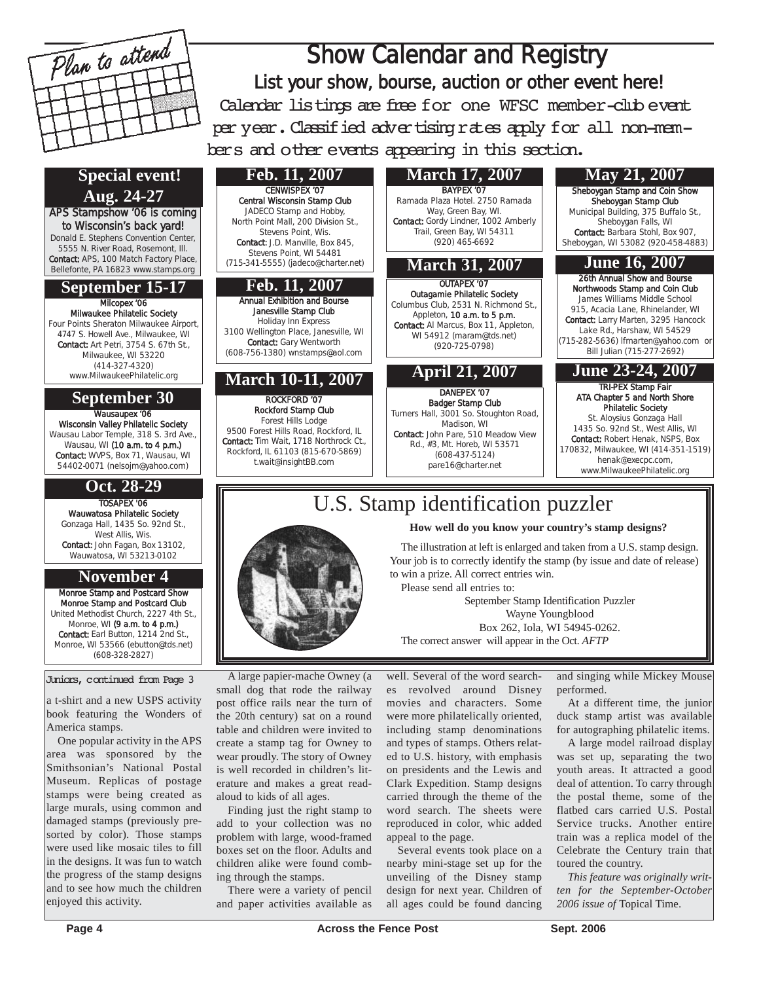

## U.S. Stamp identification puzzler

**How well do you know your country's stamp designs?**

The illustration at left is enlarged and taken from a U.S. stamp design. Your job is to correctly identify the stamp (by issue and date of release) to win a prize. All correct entries win.

Please send all entries to: September Stamp Identification Puzzler Wayne Youngblood Box 262, Iola, WI 54945-0262. The correct answer will appear in the Oct. *AFTP*

well. Several of the word searches revolved around Disney movies and characters. Some were more philatelically oriented, including stamp denominations and types of stamps. Others related to U.S. history, with emphasis on presidents and the Lewis and Clark Expedition. Stamp designs carried through the theme of the word search. The sheets were reproduced in color, whic added appeal to the page.

Several events took place on a nearby mini-stage set up for the unveiling of the Disney stamp design for next year. Children of all ages could be found dancing and singing while Mickey Mouse performed.

At a different time, the junior duck stamp artist was available for autographing philatelic items.

A large model railroad display was set up, separating the two youth areas. It attracted a good deal of attention. To carry through the postal theme, some of the flatbed cars carried U.S. Postal Service trucks. Another entire train was a replica model of the Celebrate the Century train that toured the country.

*This feature was originally written for the September-October 2006 issue of* Topical Time.

**Page 4 Across the Fence Post** Sept. 2006



## (608-328-2827) Juniors, continued from Page 3

**November 4**

Monroe Stamp and Postcard Show Monroe Stamp and Postcard Club United Methodist Church, 2227 4th St., Monroe, WI (9 a.m. to 4 p.m.) Contact: Earl Button, 1214 2nd St., Monroe, WI 53566 (ebutton@tds.net)

TOSAPEX '06 Wauwatosa Philatelic Society Gonzaga Hall, 1435 So. 92nd St., West Allis, Wis. Contact: John Fagan, Box 13102 Wauwatosa, WI 53213-0102

a t-shirt and a new USPS activity book featuring the Wonders of America stamps.

One popular activity in the APS area was sponsored by the Smithsonian's National Postal Museum. Replicas of postage stamps were being created as large murals, using common and damaged stamps (previously presorted by color). Those stamps were used like mosaic tiles to fill in the designs. It was fun to watch the progress of the stamp designs and to see how much the children enjoyed this activity.

A large papier-mache Owney (a small dog that rode the railway post office rails near the turn of the 20th century) sat on a round table and children were invited to create a stamp tag for Owney to wear proudly. The story of Owney is well recorded in children's literature and makes a great readaloud to kids of all ages.

Finding just the right stamp to add to your collection was no problem with large, wood-framed boxes set on the floor. Adults and children alike were found combing through the stamps.

There were a variety of pencil and paper activities available as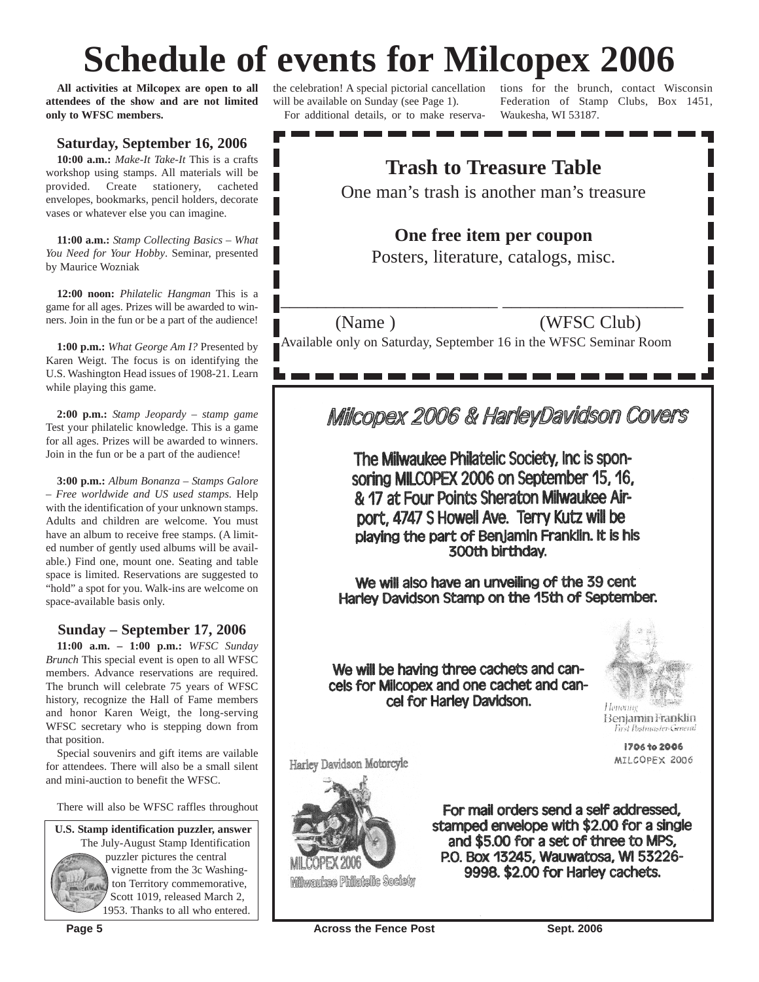# **Schedule of events for Milcopex 2006**

**All activities at Milcopex are open to all attendees of the show and are not limited only to WFSC members.**

#### **Saturday, September 16, 2006**

**10:00 a.m.:** *Make-It Take-It* This is a crafts workshop using stamps. All materials will be provided. Create stationery, cacheted envelopes, bookmarks, pencil holders, decorate vases or whatever else you can imagine.

**11:00 a.m.:** *Stamp Collecting Basics – What You Need for Your Hobby*. Seminar, presented by Maurice Wozniak

**12:00 noon:** *Philatelic Hangman* This is a game for all ages. Prizes will be awarded to winners. Join in the fun or be a part of the audience!

**1:00 p.m.:** *What George Am I?* Presented by Karen Weigt. The focus is on identifying the U.S. Washington Head issues of 1908-21. Learn while playing this game.

**2:00 p.m.:** *Stamp Jeopardy – stamp game* Test your philatelic knowledge. This is a game for all ages. Prizes will be awarded to winners. Join in the fun or be a part of the audience!

**3:00 p.m.:** *Album Bonanza – Stamps Galore – Free worldwide and US used stamps.* Help with the identification of your unknown stamps. Adults and children are welcome. You must have an album to receive free stamps. (A limited number of gently used albums will be available.) Find one, mount one. Seating and table space is limited. Reservations are suggested to "hold" a spot for you. Walk-ins are welcome on space-available basis only.

#### **Sunday – September 17, 2006**

**11:00 a.m. – 1:00 p.m.:** *WFSC Sunday Brunch* This special event is open to all WFSC members. Advance reservations are required. The brunch will celebrate 75 years of WFSC history, recognize the Hall of Fame members and honor Karen Weigt, the long-serving WFSC secretary who is stepping down from that position.

Special souvenirs and gift items are vailable for attendees. There will also be a small silent and mini-auction to benefit the WFSC.

There will also be WFSC raffles throughout

The July-August Stamp Identification puzzler pictures the central vignette from the 3c Washington Territory commemorative, Scott 1019, released March 2, 1953. Thanks to all who entered. **U.S. Stamp identification puzzler, answer** the celebration! A special pictorial cancellation will be available on Sunday (see Page 1). For additional details, or to make reserva-

tions for the brunch, contact Wisconsin Federation of Stamp Clubs, Box 1451, Waukesha, WI 53187.

## **Trash to Treasure Table**

One man's trash is another man's treasure

## **One free item per coupon**

Posters, literature, catalogs, misc.

## (Name) (WFSC Club)

Available only on Saturday, September 16 in the WFSC Seminar Room

\_\_\_\_\_\_\_\_\_\_\_\_\_\_\_\_\_\_\_\_\_\_\_\_ \_\_\_\_\_\_\_\_\_\_\_\_\_\_\_\_\_\_\_\_

## Milcopex 2006 & HarleyDavidson Covers

The Milwaukee Philatelic Society, Inc is sponsoring MILCOPEX 2006 on September 15, 16, & 17 at Four Points Sheraton Milwaukee Airport, 4747 S Howell Ave. Terry Kutz will be playing the part of Benjamin Franklin. It is his 300th birthday.

We will also have an unveiling of the 39 cent Harley Davidson Stamp on the 15th of September.

We will be having three cachets and cancels for Milcopex and one cachet and cancel for Harley Davidson.



Ноногие Benjamin Franklin First Postmaster Creneral

> 1706 to 2006 MILCOPEX 2006

Harley Davidson Motorcyle



**Milwaukee Philatelic Society** 

For mail orders send a self addressed, stamped envelope with \$2.00 for a single and \$5.00 for a set of three to MPS, P.O. Box 13245, Wauwatosa, WI 53226-9998. \$2.00 for Harley cachets.